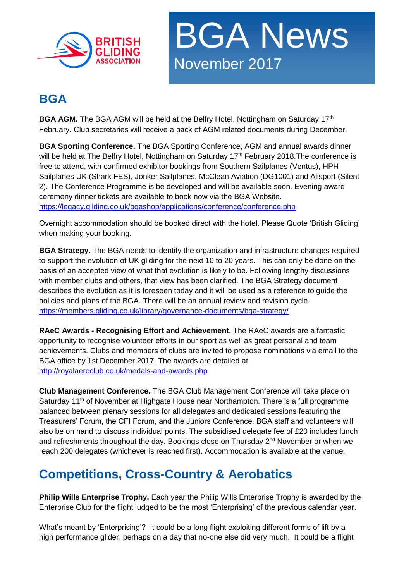



#### **BGA**

**BGA AGM.** The BGA AGM will be held at the Belfry Hotel, Nottingham on Saturday 17<sup>th</sup> February. Club secretaries will receive a pack of AGM related documents during December.

**BGA Sporting Conference.** The BGA Sporting Conference, AGM and annual awards dinner will be held at The Belfry Hotel, Nottingham on Saturday 17<sup>th</sup> February 2018. The conference is free to attend, with confirmed exhibitor bookings from Southern Sailplanes (Ventus), HPH Sailplanes UK (Shark FES), Jonker Sailplanes, McClean Aviation (DG1001) and Alisport (Silent 2). The Conference Programme is be developed and will be available soon. Evening award ceremony dinner tickets are available to book now via the BGA Website. <https://legacy.gliding.co.uk/bgashop/applications/conference/conference.php>

Overnight accommodation should be booked direct with the hotel. Please Quote 'British Gliding' when making your booking.

**BGA Strategy.** The BGA needs to identify the organization and infrastructure changes required to support the evolution of UK gliding for the next 10 to 20 years. This can only be done on the basis of an accepted view of what that evolution is likely to be. Following lengthy discussions with member clubs and others, that view has been clarified. The BGA Strategy document describes the evolution as it is foreseen today and it will be used as a reference to guide the policies and plans of the BGA. There will be an annual review and revision cycle. <https://members.gliding.co.uk/library/governance-documents/bga-strategy/>

**RAeC Awards - Recognising Effort and Achievement.** The RAeC awards are a fantastic opportunity to recognise volunteer efforts in our sport as well as great personal and team achievements. Clubs and members of clubs are invited to propose nominations via email to the BGA office by 1st December 2017. The awards are detailed at <http://royalaeroclub.co.uk/medals-and-awards.php>

**Club Management Conference.** The BGA Club Management Conference will take place on Saturday 11<sup>th</sup> of November at Highgate House near Northampton. There is a full programme balanced between plenary sessions for all delegates and dedicated sessions featuring the Treasurers' Forum, the CFI Forum, and the Juniors Conference. BGA staff and volunteers will also be on hand to discuss individual points. The subsidised delegate fee of £20 includes lunch and refreshments throughout the day. Bookings close on Thursday 2<sup>nd</sup> November or when we reach 200 delegates (whichever is reached first). Accommodation is available at the venue.

# **Competitions, Cross-Country & Aerobatics**

**Philip Wills Enterprise Trophy.** Each year the Philip Wills Enterprise Trophy is awarded by the Enterprise Club for the flight judged to be the most 'Enterprising' of the previous calendar year.

What's meant by 'Enterprising'? It could be a long flight exploiting different forms of lift by a high performance glider, perhaps on a day that no-one else did very much. It could be a flight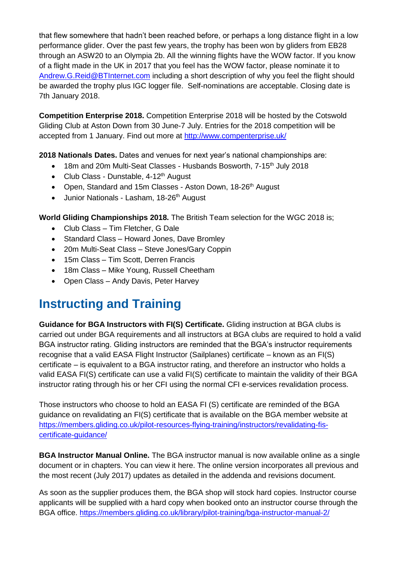that flew somewhere that hadn't been reached before, or perhaps a long distance flight in a low performance glider. Over the past few years, the trophy has been won by gliders from EB28 through an ASW20 to an Olympia 2b. All the winning flights have the WOW factor. If you know of a flight made in the UK in 2017 that you feel has the WOW factor, please nominate it to [Andrew.G.Reid@BTInternet.com](mailto:Andrew.G.Reid@BTInternet.com) including a short description of why you feel the flight should be awarded the trophy plus IGC logger file. Self-nominations are acceptable. Closing date is 7th January 2018.

**Competition Enterprise 2018.** Competition Enterprise 2018 will be hosted by the Cotswold Gliding Club at Aston Down from 30 June-7 July. Entries for the 2018 competition will be accepted from 1 January. Find out more at<http://www.compenterprise.uk/>

**2018 Nationals Dates.** Dates and venues for next year's national championships are:

- 18m and 20m Multi-Seat Classes Husbands Bosworth, 7-15<sup>th</sup> July 2018
- Club Class Dunstable,  $4-12<sup>th</sup>$  August
- Open, Standard and 15m Classes Aston Down, 18-26<sup>th</sup> August
- Junior Nationals Lasham, 18-26<sup>th</sup> August

**World Gliding Championships 2018.** The British Team selection for the WGC 2018 is;

- Club Class Tim Fletcher, G Dale
- Standard Class Howard Jones, Dave Bromley
- 20m Multi-Seat Class Steve Jones/Gary Coppin
- 15m Class Tim Scott, Derren Francis
- 18m Class Mike Young, Russell Cheetham
- Open Class Andy Davis, Peter Harvey

#### **Instructing and Training**

**Guidance for BGA Instructors with FI(S) Certificate.** Gliding instruction at BGA clubs is carried out under BGA requirements and all instructors at BGA clubs are required to hold a valid BGA instructor rating. Gliding instructors are reminded that the BGA's instructor requirements recognise that a valid EASA Flight Instructor (Sailplanes) certificate – known as an FI(S) certificate – is equivalent to a BGA instructor rating, and therefore an instructor who holds a valid EASA FI(S) certificate can use a valid FI(S) certificate to maintain the validity of their BGA instructor rating through his or her CFI using the normal CFI e-services revalidation process.

Those instructors who choose to hold an EASA FI (S) certificate are reminded of the BGA guidance on revalidating an FI(S) certificate that is available on the BGA member website at [https://members.gliding.co.uk/pilot-resources-flying-training/instructors/revalidating-fis](https://members.gliding.co.uk/pilot-resources-flying-training/instructors/revalidating-fis-certificate-guidance/)[certificate-guidance/](https://members.gliding.co.uk/pilot-resources-flying-training/instructors/revalidating-fis-certificate-guidance/)

**BGA Instructor Manual Online.** The BGA instructor manual is now available online as a single document or in chapters. You can view it here. The online version incorporates all previous and the most recent (July 2017) updates as detailed in the addenda and revisions document.

As soon as the supplier produces them, the BGA shop will stock hard copies. Instructor course applicants will be supplied with a hard copy when booked onto an instructor course through the BGA office.<https://members.gliding.co.uk/library/pilot-training/bga-instructor-manual-2/>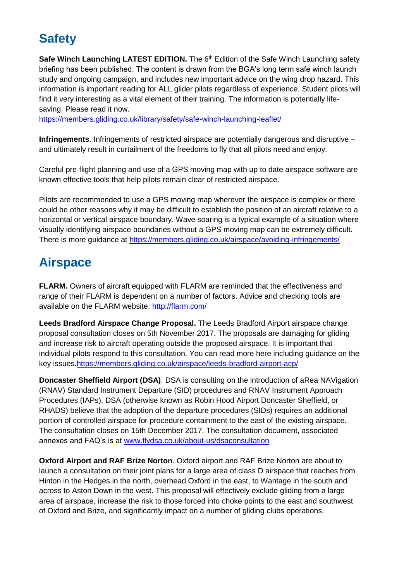# **Safety**

**Safe Winch Launching LATEST EDITION.** The 6<sup>th</sup> Edition of the Safe Winch Launching safety briefing has been published. The content is drawn from the BGA's long term safe winch launch study and ongoing campaign, and includes new important advice on the wing drop hazard. This information is important reading for ALL glider pilots regardless of experience. Student pilots will find it very interesting as a vital element of their training. The information is potentially lifesaving. Please read it now.

<https://members.gliding.co.uk/library/safety/safe-winch-launching-leaflet/>

**Infringements**. Infringements of restricted airspace are potentially dangerous and disruptive – and ultimately result in curtailment of the freedoms to fly that all pilots need and enjoy.

Careful pre-flight planning and use of a GPS moving map with up to date airspace software are known effective tools that help pilots remain clear of restricted airspace.

Pilots are recommended to use a GPS moving map wherever the airspace is complex or there could be other reasons why it may be difficult to establish the position of an aircraft relative to a horizontal or vertical airspace boundary. Wave soaring is a typical example of a situation where visually identifying airspace boundaries without a GPS moving map can be extremely difficult. There is more guidance at<https://members.gliding.co.uk/airspace/avoiding-infringements/>

# **Airspace**

**FLARM.** Owners of aircraft equipped with FLARM are reminded that the effectiveness and range of their FLARM is dependent on a number of factors. Advice and checking tools are available on the FLARM website.<http://flarm.com/>

**Leeds Bradford Airspace Change Proposal.** The Leeds Bradford Airport airspace change proposal consultation closes on 5th November 2017. The proposals are damaging for gliding and increase risk to aircraft operating outside the proposed airspace. It is important that individual pilots respond to this consultation. You can read more here including guidance on the key issues[.https://members.gliding.co.uk/airspace/leeds-bradford-airport-acp/](https://members.gliding.co.uk/airspace/leeds-bradford-airport-acp/)

**Doncaster Sheffield Airport (DSA)**. DSA is consulting on the introduction of aRea NAVigation (RNAV) Standard Instrument Departure (SID) procedures and RNAV Instrument Approach Procedures (IAPs). DSA (otherwise known as Robin Hood Airport Doncaster Sheffield, or RHADS) believe that the adoption of the departure procedures (SIDs) requires an additional portion of controlled airspace for procedure containment to the east of the existing airspace. The consultation closes on 15th December 2017. The consultation document, associated annexes and FAQ's is at [www.flydsa.co.uk/about-us/dsaconsultation](http://www.flydsa.co.uk/about-us/dsaconsultation)

**Oxford Airport and RAF Brize Norton**. Oxford airport and RAF Brize Norton are about to launch a consultation on their joint plans for a large area of class D airspace that reaches from Hinton in the Hedges in the north, overhead Oxford in the east, to Wantage in the south and across to Aston Down in the west. This proposal will effectively exclude gliding from a large area of airspace, increase the risk to those forced into choke points to the east and southwest of Oxford and Brize, and significantly impact on a number of gliding clubs operations.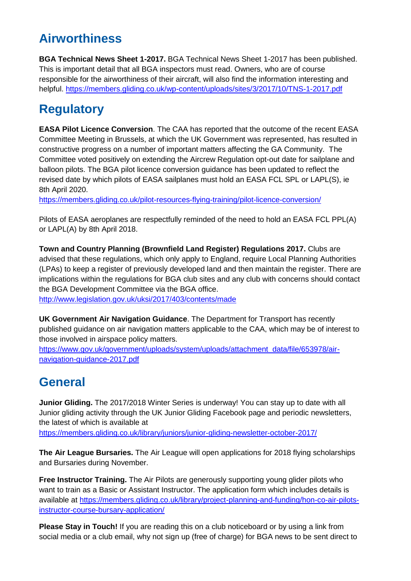# **Airworthiness**

**BGA Technical News Sheet 1-2017.** BGA Technical News Sheet 1-2017 has been published. This is important detail that all BGA inspectors must read. Owners, who are of course responsible for the airworthiness of their aircraft, will also find the information interesting and helpful.<https://members.gliding.co.uk/wp-content/uploads/sites/3/2017/10/TNS-1-2017.pdf>

# **Regulatory**

**EASA Pilot Licence Conversion**. The CAA has reported that the outcome of the recent EASA Committee Meeting in Brussels, at which the UK Government was represented, has resulted in constructive progress on a number of important matters affecting the GA Community. The Committee voted positively on extending the Aircrew Regulation opt-out date for sailplane and balloon pilots. The BGA pilot licence conversion guidance has been updated to reflect the revised date by which pilots of EASA sailplanes must hold an EASA FCL SPL or LAPL(S), ie 8th April 2020.

<https://members.gliding.co.uk/pilot-resources-flying-training/pilot-licence-conversion/>

Pilots of EASA aeroplanes are respectfully reminded of the need to hold an EASA FCL PPL(A) or LAPL(A) by 8th April 2018.

**Town and Country Planning (Brownfield Land Register) Regulations 2017.** Clubs are advised that these regulations, which only apply to England, require Local Planning Authorities (LPAs) to keep a register of previously developed land and then maintain the register. There are implications within the regulations for BGA club sites and any club with concerns should contact the BGA Development Committee via the BGA office.

<http://www.legislation.gov.uk/uksi/2017/403/contents/made>

**UK Government Air Navigation Guidance**. The Department for Transport has recently published guidance on air navigation matters applicable to the CAA, which may be of interest to those involved in airspace policy matters.

[https://www.gov.uk/government/uploads/system/uploads/attachment\\_data/file/653978/air](https://www.gov.uk/government/uploads/system/uploads/attachment_data/file/653978/air-navigation-guidance-2017.pdf)[navigation-guidance-2017.pdf](https://www.gov.uk/government/uploads/system/uploads/attachment_data/file/653978/air-navigation-guidance-2017.pdf)

# **General**

**Junior Gliding.** The 2017/2018 Winter Series is underway! You can stay up to date with all Junior gliding activity through the UK Junior Gliding Facebook page and periodic newsletters, the latest of which is available at

<https://members.gliding.co.uk/library/juniors/junior-gliding-newsletter-october-2017/>

**The Air League Bursaries.** The Air League will open applications for 2018 flying scholarships and Bursaries during November.

**Free Instructor Training.** The Air Pilots are generously supporting young glider pilots who want to train as a Basic or Assistant Instructor. The application form which includes details is available at [https://members.gliding.co.uk/library/project-planning-and-funding/hon-co-air-pilots](https://members.gliding.co.uk/library/project-planning-and-funding/hon-co-air-pilots-instructor-course-bursary-application/)[instructor-course-bursary-application/](https://members.gliding.co.uk/library/project-planning-and-funding/hon-co-air-pilots-instructor-course-bursary-application/)

**Please Stay in Touch!** If you are reading this on a club noticeboard or by using a link from social media or a club email, why not sign up (free of charge) for BGA news to be sent direct to